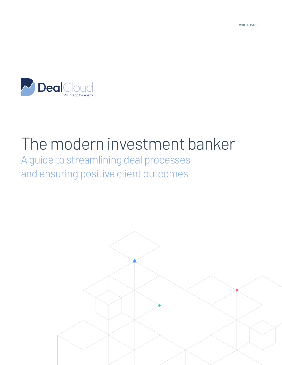

# The modern investment banker

A guide to streamlining deal processes and ensuring positive client outcomes

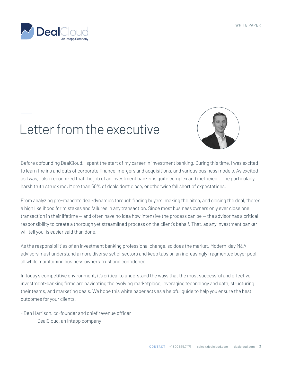

## Letter from the executive



Before cofounding DealCloud, I spent the start of my career in investment banking. During this time, I was excited to learn the ins and outs of corporate finance, mergers and acquisitions, and various business models. As excited as I was, I also recognized that the job of an investment banker is quite complex and inefficient. One particularly harsh truth struck me: More than 50% of deals don't close, or otherwise fall short of expectations.

From analyzing pre-mandate deal-dynamics through finding buyers, making the pitch, and closing the deal, there's a high likelihood for mistakes and failures in any transaction. Since most business owners only ever close one transaction in their lifetime — and often have no idea how intensive the process can be — the advisor has a critical responsibility to create a thorough yet streamlined process on the client's behalf. That, as any investment banker will tell you, is easier said than done.

As the responsibilities of an investment banking professional change, so does the market. Modern-day M&A advisors must understand a more diverse set of sectors and keep tabs on an increasingly fragmented buyer pool, all while maintaining business owners' trust and confidence.

In today's competitive environment, it's critical to understand the ways that the most successful and effective investment-banking firms are navigating the evolving marketplace, leveraging technology and data, structuring their teams, and marketing deals. We hope this white paper acts as a helpful guide to help you ensure the best outcomes for your clients.

- Ben Harrison, co-founder and chief revenue officer DealCloud, an Intapp company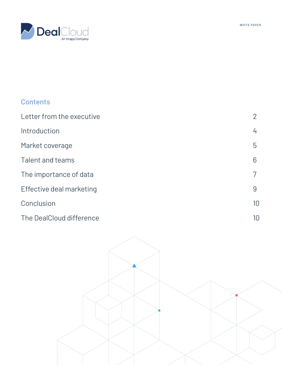

### **Contents**

| Letter from the executive | $\overline{2}$ |
|---------------------------|----------------|
| Introduction              | 4              |
| Market coverage           | 5              |
| <b>Talent and teams</b>   | 6              |
| The importance of data    |                |
| Effective deal marketing  |                |
| Conclusion                |                |
| The DealCloud difference  |                |

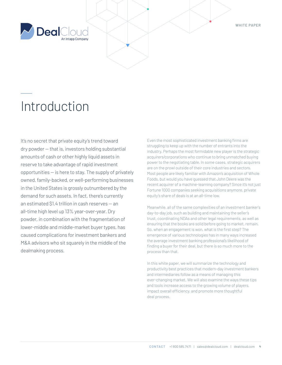



### Introduction

It's no secret that private equity's trend toward dry powder — that is, investors holding substantial amounts of cash or other highly liquid assets in reserve to take advantage of rapid investment opportunities — is here to stay. The supply of privately owned, family-backed, or well-performing businesses in the United States is grossly outnumbered by the demand for such assets. In fact, there's currently an estimated \$1.4 trillion in cash reserves — an all-time high level up 13% year-over-year. Dry powder, in combination with the fragmentation of lower-middle and middle-market buyer types, has caused complications for investment bankers and M&A advisors who sit squarely in the middle of the dealmaking process.

Even the most sophisticated investment banking firms are struggling to keep up with the number of entrants into the industry. Perhaps the most formidable new player is the strategic acquirers/corporations who continue to bring unmatched buying power to the negotiating table. In some cases, strategic acquirers are on the prowl outside of their core industries and sectors. Most people are likely familiar with Amazon's acquisition of Whole Foods, but would you have guessed that John Deere was the recent acquirer of a machine-learning company? Since it's not just Fortune 1000 companies seeking acquisitions anymore, private equity's share of deals is at an all-time low.

Meanwhile, all of the same complexities of an investment banker's day-to-day job, such as building and maintaining the seller's trust, coordinating NDAs and other legal requirements, as well as ensuring that the books are solid before going to market, remain. So, when an engagement is won, what is the first step? The emergence of various technologies has in many ways increased the average investment banking professional's likelihood of finding a buyer for their deal, but there is so much more to the process than that.

In this white paper, we will summarize the technology and productivity best practices that modern-day investment bankers and intermediaries follow as a means of managing this ever-changing market. We will also examine the ways these tips and tools increase access to the growing volume of players, impact overall efficiency, and promote more thoughtful deal process.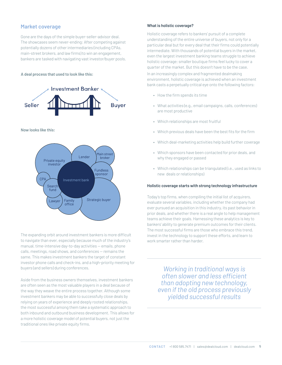#### **Market coverage**

Gone are the days of the simple buyer-seller-advisor deal. The showcases seem never-ending: After competing against potentially dozens of other intermediaries (including CPAs, main-street brokers, and law firms) to win an engagement, bankers are tasked with navigating vast investor/buyer pools.

#### **A deal process that used to look like this:**



**Now looks like this:**



The expanding orbit around investment bankers is more difficult to navigate than ever, especially because much of the industry's manual, time-intensive day-to-day activities — emails, phone calls, meetings, road shows, and conferences — remains the same. This makes investment bankers the target of constant investor phone calls and check-ins, and a high-priority meeting for buyers (and sellers) during conferences.

Aside from the business owners themselves, investment bankers are often seen as the most valuable players in a deal because of the way they weave the entire process together. Although some investment bankers may be able to successfully close deals by relying on years of experience and deeply rooted relationships, the most successful among them take a systematic approach to both inbound and outbound business development. This allows for a more holistic coverage model of potential buyers, not just the traditional ones like private equity firms.

#### **What is holistic coverage?**

Holistic coverage refers to bankers' pursuit of a complete understanding of the entire universe of buyers, not only for a particular deal but for every deal that their firms could potentially intermediate. With thousands of potential buyers in the market, even the largest investment banking teams struggle to achieve holistic coverage; smaller boutique firms feel lucky to cover a quarter of the market. But this doesn't have to be the case.

In an increasingly complex and fragmented dealmaking environment, holistic coverage is achieved when an investment bank casts a perpetually critical eye onto the following factors:

- How the firm spends its time
- What activities (e.g., email campaigns, calls, conferences) are most productive
- Which relationships are most fruitful
- Which previous deals have been the best fits for the firm
- Which deal-marketing activities help build further coverage
- Which sponsors have been contacted for prior deals, and why they engaged or passed
- Which relationships can be triangulated (i.e., used as links to new deals or relationships)

#### **Holistic coverage starts with strong technology infrastructure**

Today's top firms, when compiling the initial list of acquirers, evaluate several variables, including whether the company had ever pursued an acquisition in this industry, its past behavior in prior deals, and whether there is a real angle to help management teams achieve their goals. Harnessing these analytics is key to bankers' ability to generate premium outcomes for their clients. The most successful firms are those who embrace this trend, invest in the technology to support these efforts, and learn to work smarter rather than harder.

*Working in traditional ways is often slower and less efficient than adopting new technology, even if the old process previously yielded successful results*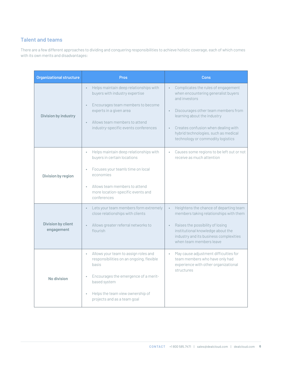#### **Talent and teams**

There are a few different approaches to dividing and conquering responsibilities to achieve holistic coverage, each of which comes with its own merits and disadvantages:

| <b>Organizational structure</b>         | <b>Pros</b>                                                                                                                                                                                                                              | Cons                                                                                                                                                                                                                                                                                               |
|-----------------------------------------|------------------------------------------------------------------------------------------------------------------------------------------------------------------------------------------------------------------------------------------|----------------------------------------------------------------------------------------------------------------------------------------------------------------------------------------------------------------------------------------------------------------------------------------------------|
| <b>Division by industry</b>             | Helps maintain deep relationships with<br>buyers with industry expertise<br>Encourages team members to become<br>experts in a given area<br>Allows team members to attend<br>industry-specific events conferences                        | Complicates the rules of engagement<br>when encountering generalist buyers<br>and investors<br>Discourages other team members from<br>learning about the industry<br>Creates confusion when dealing with<br>$\bullet$<br>hybrid technologies, such as medical<br>technology or commodity logistics |
| Division by region                      | Helps maintain deep relationships with<br>buyers in certain locations<br>Focuses your team's time on local<br>$\bullet$<br>economies<br>Allows team members to attend<br>more location-specific events and<br>conferences                | Causes some regions to be left out or not<br>receive as much attention                                                                                                                                                                                                                             |
| <b>Division by client</b><br>engagement | Lets your team members form extremely<br>close relationships with clients<br>Allows greater referral networks to<br>flourish                                                                                                             | Heightens the chance of departing team<br>members taking relationships with them<br>Raises the possibility of losing<br>institutional knowledge about the<br>industry and its business complexities<br>when team members leave                                                                     |
| No division                             | Allows your team to assign roles and<br>responsibilities on an ongoing, flexible<br><b>hasis</b><br>Encourages the emergence of a merit-<br>based system<br>Helps the team view ownership of<br>$\bullet$<br>projects and as a team goal | May cause adjustment difficulties for<br>team members who have only had<br>experience with other organizational<br>structures                                                                                                                                                                      |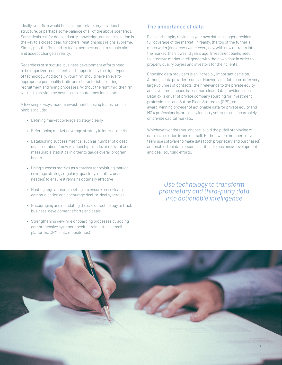Ideally, your firm would find an appropriate organizational structure, or perhaps some balance of all of the above scenarios. Some deals call for deep industry knowledge, and specialization is the key to a closed deal; for others, relationships reigns supreme. Simply put, the firm and its team members need to remain nimble and accept change as reality.

Regardless of structure, business development efforts need to be organized, consistent, and supported by the right types of technology. Additionally, your firm should have an eye for appropriate personality traits and characteristics during recruitment and hiring processes. Without the right mix, the firm will fail to provide the best possible outcomes for clients.

A few simple ways modern investment banking teams remain nimble include:

- Defining market coverage strategy clearly
- Referencing market coverage strategy in internal meetings
- Establishing success metrics, such as number of closed deals, number of new relationships made, or relevant and measurable statistics in order to gauge overall program health
- Using success metrics as a catalyst for revisiting market coverage strategy regularly (quarterly, monthly, or as needed) to ensure it remains optimally effective
- Hosting regular team meetings to ensure cross-team communication and encourage deal-to-deal synergies
- Encouraging and mandating the use of technology to track business-development efforts and deals
- Strengthening new-hire onboarding processes by adding comprehensive systems-specific training (e.g., email platforms, CRM, data repositories)

#### **The importance of data**

Plain and simple, relying on your own data no longer provides full coverage of the market. In reality, the top of the funnel is much wider (and grows wider every day, with new entrants into the market) than it was 10 years ago. Investment banks need to integrate market intelligence with their own data in order to properly qualify buyers and investors for their clients.

Choosing data providers is an incredibly important decision. Although data providers such as Hoovers and Data.com offer very large volumes of contacts, their relevance to the private equity and investment space is less than clear. Data providers such as DataFox, a driver of private company sourcing for investment professionals, and Sutton Place Strategies (SPS), an award-winning provider of actionable data for private equity and M&A professionals, are led by industry veterans and focus solely on private capital markets.

Whichever vendors you choose, avoid the pitfall of thinking of data as a solution in and of itself. Rather, when members of your team use software to make data (both proprietary and purchased) actionable, that data becomes critical to business-development and deal-sourcing efforts.

*Use technology to transform proprietary and third-party data into actionable intelligence*

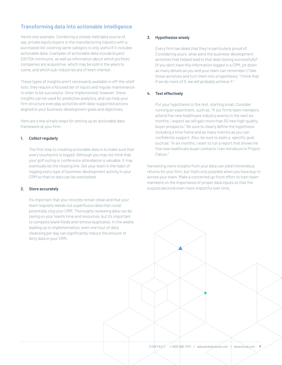#### **Transforming data into actionable intelligence**

Here's one example: Combining a closely-held data source of, say, private equity buyers in the manufacturing industry with a purchased list covering same category is only useful if it includes actionable data. Examples of actionable data include buyers' EBITDA minimums, as well as information about which portfolio companies are acquisitive, which may be sold in the years to come, and which sub-industries are of keen interest.

These types of insights aren't necessarily available in off-the-shelf lists; they require a focused set of inputs and regular maintenance in order to be successful. Once implemented, however, these insights can be used for predictive analytics, and can help your firm structure everyday activities with data-supported actions aligned to your business-development goals and objectives.

Here are a few simple steps for setting up an actionable data framework at your firm:

#### **1. Collect regularly**

The first step to creating actionable data is to make sure that every touchpoint is logged. Although you may not think that your golf outing or conference attendance is valuable, it may eventually be the missing link. Get your team in the habit of logging every type of business-development activity in your CRM so that no data can be overlooked.

#### **2. Store accurately**

It's important that your records remain clean and that your team regularly weeds out superfluous data that could potentially clog your CRM. Thoroughly reviewing data can be taxing on your team's time and resources, but it's important to complete blank fields and remove duplicates. In the weeks leading up to implementation, even one hour of data cleansing per day can significantly reduce the amount of dirty data in your CRM.

#### **3. Hypothesize wisely**

Every firm has deals that they're particularly proud of. Considering yours, what were the business-development activities that helped lead to that deal closing successfully? (If you don't have this information logged in a CRM, jot down as many details as you and your team can remember.) Take those activities and turn them into a hypothesis: "I think that if we do more of X, we will probably achieve Y."

#### **4. Test effectively**

Put your hypothesis to the test, starting small. Consider running an experiment, such as: "If our firm's team members attend five new healthcare industry events in the next six months, I expect we will gain more than 50 new high-quality buyer prospects." Be sure to clearly define the hypothesis including a time frame and as many metrics as you can confidently support. Also, be sure to state a specific goal, such as: "In six months, I want to run a report that shows me five new healthcare buyer contacts I can introduce to Project Falcon."

Harvesting more insights from your data can yield tremendous returns for your firm, but that's only possible when you have buy-in across your team. Make a concerted up-front effort to train team members on the importance of proper data inputs so that the outputs become even more impactful over time.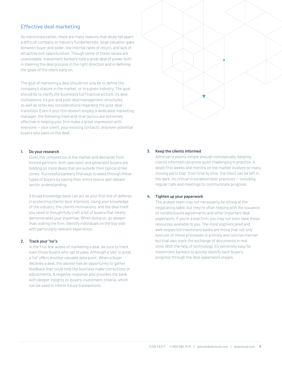#### **Effective deal marketing**

As mentioned earlier, there are many reasons that deals fall apart: a difficult company or industry fundamentals, large valuation gaps between buyer and seller, low internal rates of return, and lack of attractive exit opportunities. Though some of these issues are unavoidable, investment bankers hold a great deal of power both in steering the deal process in the right direction and in defining the goals of the client early on.

The goal of marketing a deal should not only be to define the company's stature in the market, or in a given industry. The goal should be to clarify the business's full financial picture, its deal motivations, its pre-and post-deal management structures, as well as other key considerations regarding the post-deal transition. Even if your firm doesn't employ a dedicated marketing manager, the following tried-and-true tactics are extremely effective in helping your firm make a great impression with everyone — your client, your existing contacts, and even potential buyers who pass on the deal.

#### **1. Do your research**

Given the competition in the market and demands from limited partners, both specialist and generalist buyers are bidding on more deals that are outside their typical strike zones. Successful bankers find ways to weed through these types of buyers by having their entire teams gain deeper sector understanding.

A broad knowledge base can act as your first line of defense in protecting clients' best interests. Using your knowledge of the industry, the client's motivations, and the deal itself, you need to thoughtfully craft a list of buyers that clearly demonstrates your expertise. When doing so, go deeper than stating the firm. Identify individuals on the buy side with particularly relevant experience.

#### **2. Track your "no"s**

In the first few weeks of marketing a deal, be sure to track even those buyers who opt to pass. Although a "yes" is great, a "no" offers another valuable data point. When a buyer declines a deal, the advisor has an opportunity to gather feedback that could help the business make corrections or adjustments. A negative response also provides the bank with deeper insights on buyers' investment criteria, which can be used to inform future transactions.



#### **3. Keep the clients informed**

Although it seems simple enough conceptually, keeping clients informed can prove quite challenging in practice. A deal's first weeks and months on the market involves so many moving parts that, from time to time, the client can be left in the dark. Its critical to establish best practices — including regular calls and meetings to communicate progress.

#### **4. Tighten up your paperwork**

The analyst team may not necessarily be sitting at the negotiating table, but they're often helping with the issuance of nondisclosure agreements and other important deal paperwork. If you're a lean firm, you may not even have these resources available to you. The most sophisticated and well-respected investment banks are those that not only execute on these processes in a timely and concise manner but that also track the exchange of documents in real time. With the help of technology, it's extremely easy for investment bankers to quickly identify each buyer's progress through the deal-paperwork stages.